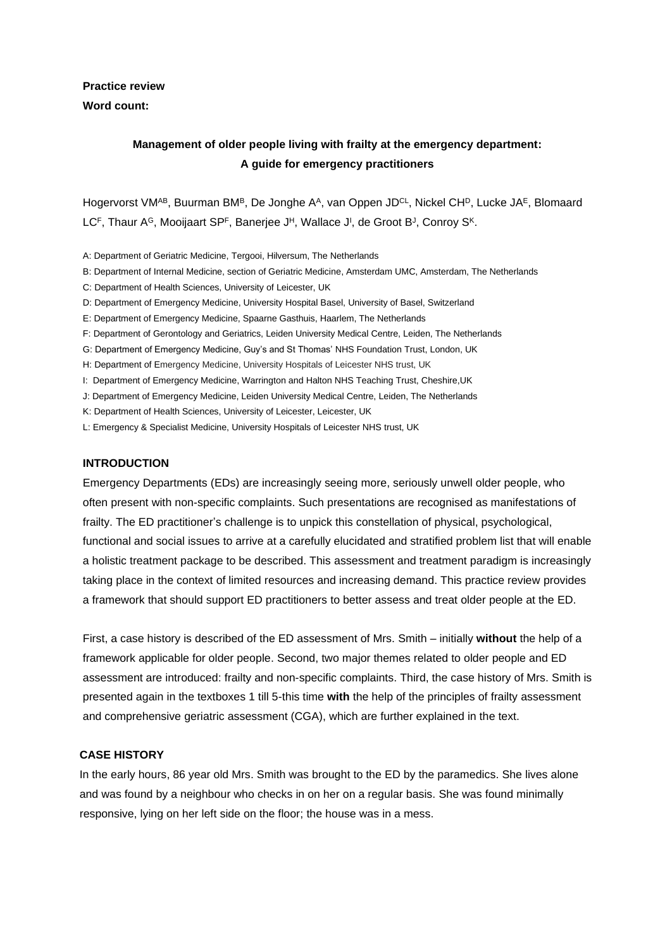## **Practice review Word count:**

# **Management of older people living with frailty at the emergency department: A guide for emergency practitioners**

Hogervorst VM<sup>AB</sup>, Buurman BM<sup>B</sup>, De Jonghe A<sup>A</sup>, van Oppen JD<sup>CL</sup>, Nickel CH<sup>D</sup>, Lucke JA<sup>E</sup>, Blomaard LC<sup>F</sup>, Thaur A<sup>G</sup>, Mooijaart SP<sup>F</sup>, Banerjee J<sup>H</sup>, Wallace J<sup>I</sup>, de Groot B<sup>J</sup>, Conroy S<sup>K</sup>.

- A: Department of Geriatric Medicine, Tergooi, Hilversum, The Netherlands
- B: Department of Internal Medicine, section of Geriatric Medicine, Amsterdam UMC, Amsterdam, The Netherlands
- C: Department of Health Sciences, University of Leicester, UK
- D: Department of Emergency Medicine, University Hospital Basel, University of Basel, Switzerland
- E: Department of Emergency Medicine, Spaarne Gasthuis, Haarlem, The Netherlands
- F: Department of Gerontology and Geriatrics, Leiden University Medical Centre, Leiden, The Netherlands
- G: Department of Emergency Medicine, Guy's and St Thomas' NHS Foundation Trust, London, UK
- H: Department of Emergency Medicine, University Hospitals of Leicester NHS trust, UK
- I: Department of Emergency Medicine, Warrington and Halton NHS Teaching Trust, Cheshire,UK
- J: Department of Emergency Medicine, Leiden University Medical Centre, Leiden, The Netherlands

K: Department of Health Sciences, University of Leicester, Leicester, UK

L: Emergency & Specialist Medicine, University Hospitals of Leicester NHS trust, UK

### **INTRODUCTION**

Emergency Departments (EDs) are increasingly seeing more, seriously unwell older people, who often present with non-specific complaints. Such presentations are recognised as manifestations of frailty. The ED practitioner's challenge is to unpick this constellation of physical, psychological, functional and social issues to arrive at a carefully elucidated and stratified problem list that will enable a holistic treatment package to be described. This assessment and treatment paradigm is increasingly taking place in the context of limited resources and increasing demand. This practice review provides a framework that should support ED practitioners to better assess and treat older people at the ED.

First, a case history is described of the ED assessment of Mrs. Smith – initially **without** the help of a framework applicable for older people. Second, two major themes related to older people and ED assessment are introduced: frailty and non-specific complaints. Third, the case history of Mrs. Smith is presented again in the textboxes 1 till 5-this time **with** the help of the principles of frailty assessment and comprehensive geriatric assessment (CGA), which are further explained in the text.

#### **CASE HISTORY**

In the early hours, 86 year old Mrs. Smith was brought to the ED by the paramedics. She lives alone and was found by a neighbour who checks in on her on a regular basis. She was found minimally responsive, lying on her left side on the floor; the house was in a mess.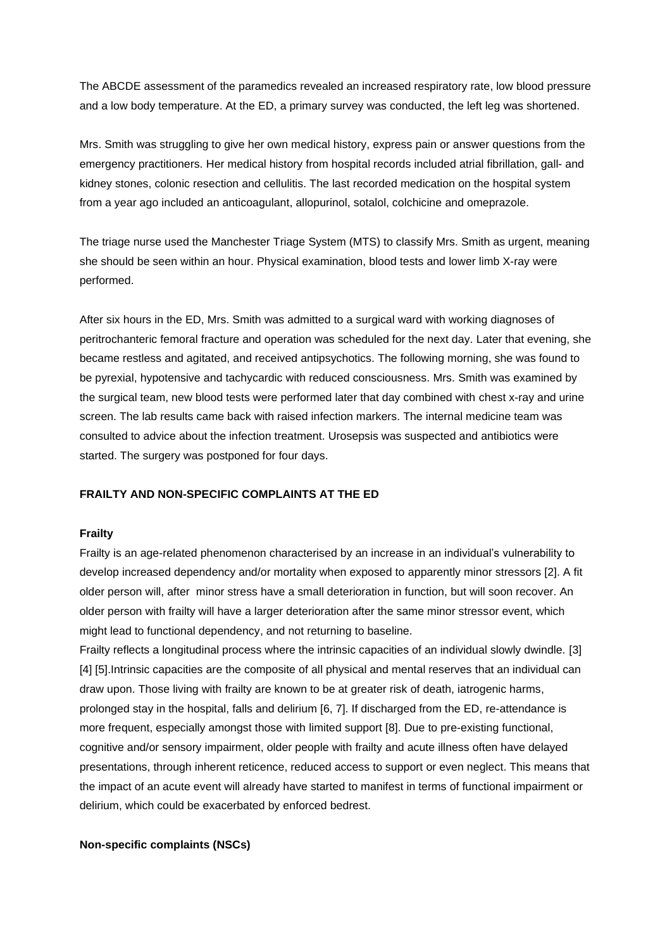The ABCDE assessment of the paramedics revealed an increased respiratory rate, low blood pressure and a low body temperature. At the ED, a primary survey was conducted, the left leg was shortened.

Mrs. Smith was struggling to give her own medical history, express pain or answer questions from the emergency practitioners. Her medical history from hospital records included atrial fibrillation, gall- and kidney stones, colonic resection and cellulitis. The last recorded medication on the hospital system from a year ago included an anticoagulant, allopurinol, sotalol, colchicine and omeprazole.

The triage nurse used the Manchester Triage System (MTS) to classify Mrs. Smith as urgent, meaning she should be seen within an hour. Physical examination, blood tests and lower limb X-ray were performed.

After six hours in the ED, Mrs. Smith was admitted to a surgical ward with working diagnoses of peritrochanteric femoral fracture and operation was scheduled for the next day. Later that evening, she became restless and agitated, and received antipsychotics. The following morning, she was found to be pyrexial, hypotensive and tachycardic with reduced consciousness. Mrs. Smith was examined by the surgical team, new blood tests were performed later that day combined with chest x-ray and urine screen. The lab results came back with raised infection markers. The internal medicine team was consulted to advice about the infection treatment. Urosepsis was suspected and antibiotics were started. The surgery was postponed for four days.

### **FRAILTY AND NON-SPECIFIC COMPLAINTS AT THE ED**

### **Frailty**

Frailty is an age-related phenomenon characterised by an increase in an individual's vulnerability to develop increased dependency and/or mortality when exposed to apparently minor stressors [2]. A fit older person will, after minor stress have a small deterioration in function, but will soon recover. An older person with frailty will have a larger deterioration after the same minor stressor event, which might lead to functional dependency, and not returning to baseline.

Frailty reflects a longitudinal process where the intrinsic capacities of an individual slowly dwindle. [3] [4] [5].Intrinsic capacities are the composite of all physical and mental reserves that an individual can draw upon. Those living with frailty are known to be at greater risk of death, iatrogenic harms, prolonged stay in the hospital, falls and delirium [6, 7]. If discharged from the ED, re-attendance is more frequent, especially amongst those with limited support [8]. Due to pre-existing functional, cognitive and/or sensory impairment, older people with frailty and acute illness often have delayed presentations, through inherent reticence, reduced access to support or even neglect. This means that the impact of an acute event will already have started to manifest in terms of functional impairment or delirium, which could be exacerbated by enforced bedrest.

### **Non-specific complaints (NSCs)**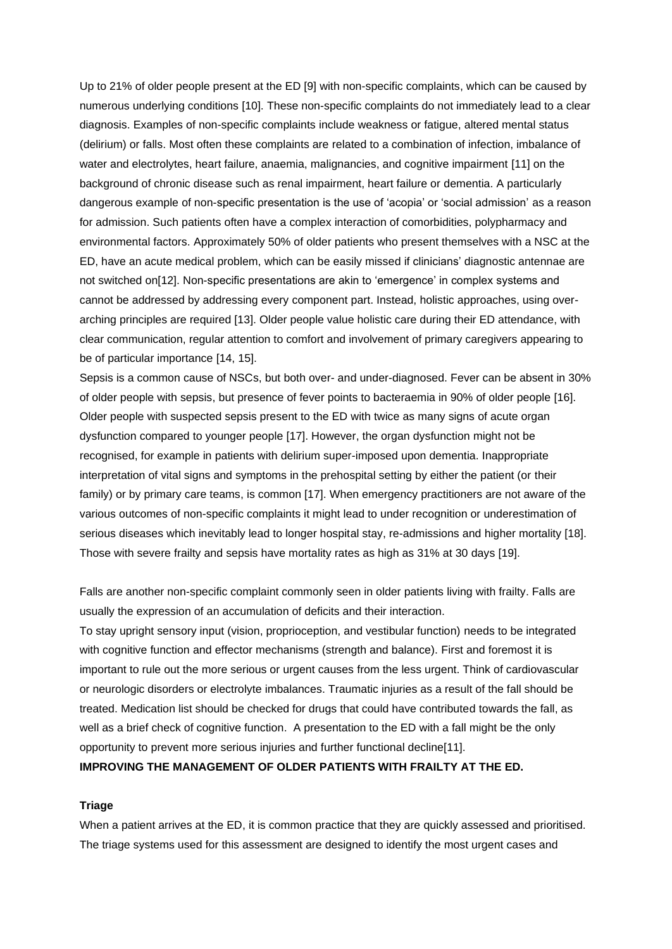Up to 21% of older people present at the ED [9] with non-specific complaints, which can be caused by numerous underlying conditions [10]. These non-specific complaints do not immediately lead to a clear diagnosis. Examples of non-specific complaints include weakness or fatigue, altered mental status (delirium) or falls. Most often these complaints are related to a combination of infection, imbalance of water and electrolytes, heart failure, anaemia, malignancies, and cognitive impairment [11] on the background of chronic disease such as renal impairment, heart failure or dementia. A particularly dangerous example of non-specific presentation is the use of 'acopia' or 'social admission' as a reason for admission. Such patients often have a complex interaction of comorbidities, polypharmacy and environmental factors. Approximately 50% of older patients who present themselves with a NSC at the ED, have an acute medical problem, which can be easily missed if clinicians' diagnostic antennae are not switched on[12]. Non-specific presentations are akin to 'emergence' in complex systems and cannot be addressed by addressing every component part. Instead, holistic approaches, using overarching principles are required [13]. Older people value holistic care during their ED attendance, with clear communication, regular attention to comfort and involvement of primary caregivers appearing to be of particular importance [14, 15].

Sepsis is a common cause of NSCs, but both over- and under-diagnosed. Fever can be absent in 30% of older people with sepsis, but presence of fever points to bacteraemia in 90% of older people [16]. Older people with suspected sepsis present to the ED with twice as many signs of acute organ dysfunction compared to younger people [17]. However, the organ dysfunction might not be recognised, for example in patients with delirium super-imposed upon dementia. Inappropriate interpretation of vital signs and symptoms in the prehospital setting by either the patient (or their family) or by primary care teams, is common [17]. When emergency practitioners are not aware of the various outcomes of non-specific complaints it might lead to under recognition or underestimation of serious diseases which inevitably lead to longer hospital stay, re-admissions and higher mortality [18]. Those with severe frailty and sepsis have mortality rates as high as 31% at 30 days [19].

Falls are another non-specific complaint commonly seen in older patients living with frailty. Falls are usually the expression of an accumulation of deficits and their interaction.

To stay upright sensory input (vision, proprioception, and vestibular function) needs to be integrated with cognitive function and effector mechanisms (strength and balance). First and foremost it is important to rule out the more serious or urgent causes from the less urgent. Think of cardiovascular or neurologic disorders or electrolyte imbalances. Traumatic injuries as a result of the fall should be treated. Medication list should be checked for drugs that could have contributed towards the fall, as well as a brief check of cognitive function. A presentation to the ED with a fall might be the only opportunity to prevent more serious injuries and further functional decline[11].

**IMPROVING THE MANAGEMENT OF OLDER PATIENTS WITH FRAILTY AT THE ED.**

### **Triage**

When a patient arrives at the ED, it is common practice that they are quickly assessed and prioritised. The triage systems used for this assessment are designed to identify the most urgent cases and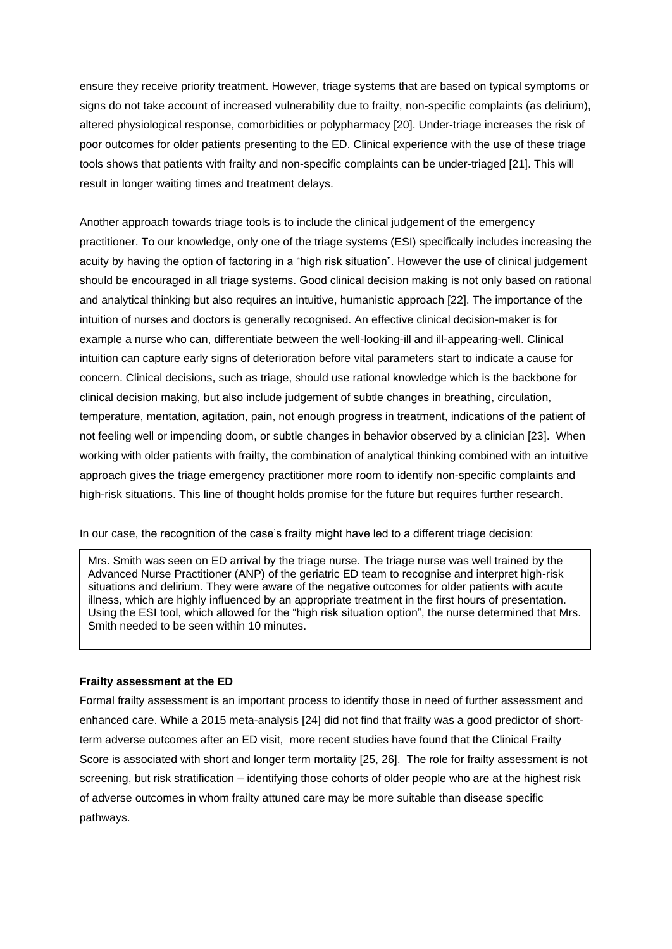ensure they receive priority treatment. However, triage systems that are based on typical symptoms or signs do not take account of increased vulnerability due to frailty, non-specific complaints (as delirium), altered physiological response, comorbidities or polypharmacy [20]. Under-triage increases the risk of poor outcomes for older patients presenting to the ED. Clinical experience with the use of these triage tools shows that patients with frailty and non-specific complaints can be under-triaged [21]. This will result in longer waiting times and treatment delays.

Another approach towards triage tools is to include the clinical judgement of the emergency practitioner. To our knowledge, only one of the triage systems (ESI) specifically includes increasing the acuity by having the option of factoring in a "high risk situation". However the use of clinical judgement should be encouraged in all triage systems. Good clinical decision making is not only based on rational and analytical thinking but also requires an intuitive, humanistic approach [22]. The importance of the intuition of nurses and doctors is generally recognised. An effective clinical decision-maker is for example a nurse who can, differentiate between the well-looking-ill and ill-appearing-well. Clinical intuition can capture early signs of deterioration before vital parameters start to indicate a cause for concern. Clinical decisions, such as triage, should use rational knowledge which is the backbone for clinical decision making, but also include judgement of subtle changes in breathing, circulation, temperature, mentation, agitation, pain, not enough progress in treatment, indications of the patient of not feeling well or impending doom, or subtle changes in behavior observed by a clinician [23]. When working with older patients with frailty, the combination of analytical thinking combined with an intuitive approach gives the triage emergency practitioner more room to identify non-specific complaints and high-risk situations. This line of thought holds promise for the future but requires further research.

In our case, the recognition of the case's frailty might have led to a different triage decision:

Mrs. Smith was seen on ED arrival by the triage nurse. The triage nurse was well trained by the Advanced Nurse Practitioner (ANP) of the geriatric ED team to recognise and interpret high-risk situations and delirium. They were aware of the negative outcomes for older patients with acute illness, which are highly influenced by an appropriate treatment in the first hours of presentation. Using the ESI tool, which allowed for the "high risk situation option", the nurse determined that Mrs. Smith needed to be seen within 10 minutes.

### **Frailty assessment at the ED**

Formal frailty assessment is an important process to identify those in need of further assessment and enhanced care. While a 2015 meta-analysis [24] did not find that frailty was a good predictor of shortterm adverse outcomes after an ED visit, more recent studies have found that the Clinical Frailty Score is associated with short and longer term mortality [25, 26]. The role for frailty assessment is not screening, but risk stratification – identifying those cohorts of older people who are at the highest risk of adverse outcomes in whom frailty attuned care may be more suitable than disease specific pathways.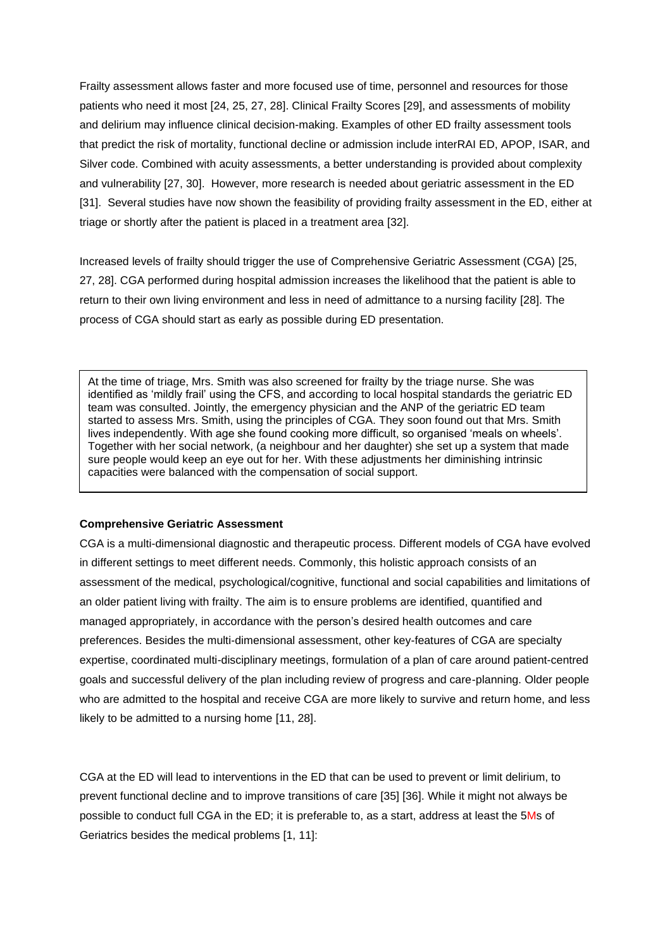Frailty assessment allows faster and more focused use of time, personnel and resources for those patients who need it most [24, 25, 27, 28]. Clinical Frailty Scores [29], and assessments of mobility and delirium may influence clinical decision-making. Examples of other ED frailty assessment tools that predict the risk of mortality, functional decline or admission include interRAI ED, APOP, ISAR, and Silver code. Combined with acuity assessments, a better understanding is provided about complexity and vulnerability [27, 30]. However, more research is needed about geriatric assessment in the ED [31]. Several studies have now shown the feasibility of providing frailty assessment in the ED, either at triage or shortly after the patient is placed in a treatment area [32].

Increased levels of frailty should trigger the use of Comprehensive Geriatric Assessment (CGA) [25, 27, 28]. CGA performed during hospital admission increases the likelihood that the patient is able to return to their own living environment and less in need of admittance to a nursing facility [28]. The process of CGA should start as early as possible during ED presentation.

At the time of triage, Mrs. Smith was also screened for frailty by the triage nurse. She was identified as 'mildly frail' using the CFS, and according to local hospital standards the geriatric ED team was consulted. Jointly, the emergency physician and the ANP of the geriatric ED team started to assess Mrs. Smith, using the principles of CGA. They soon found out that Mrs. Smith lives independently. With age she found cooking more difficult, so organised 'meals on wheels'. Together with her social network, (a neighbour and her daughter) she set up a system that made sure people would keep an eye out for her. With these adjustments her diminishing intrinsic capacities were balanced with the compensation of social support.

### **Comprehensive Geriatric Assessment**

CGA is a multi-dimensional diagnostic and therapeutic process. Different models of CGA have evolved in different settings to meet different needs. Commonly, this holistic approach consists of an assessment of the medical, psychological/cognitive, functional and social capabilities and limitations of an older patient living with frailty. The aim is to ensure problems are identified, quantified and managed appropriately, in accordance with the person's desired health outcomes and care preferences. Besides the multi-dimensional assessment, other key-features of CGA are specialty expertise, coordinated multi-disciplinary meetings, formulation of a plan of care around patient-centred goals and successful delivery of the plan including review of progress and care-planning. Older people who are admitted to the hospital and receive CGA are more likely to survive and return home, and less likely to be admitted to a nursing home [11, 28].

CGA at the ED will lead to interventions in the ED that can be used to prevent or limit delirium, to prevent functional decline and to improve transitions of care [35] [36]. While it might not always be possible to conduct full CGA in the ED; it is preferable to, as a start, address at least the 5Ms of Geriatrics besides the medical problems [1, 11]: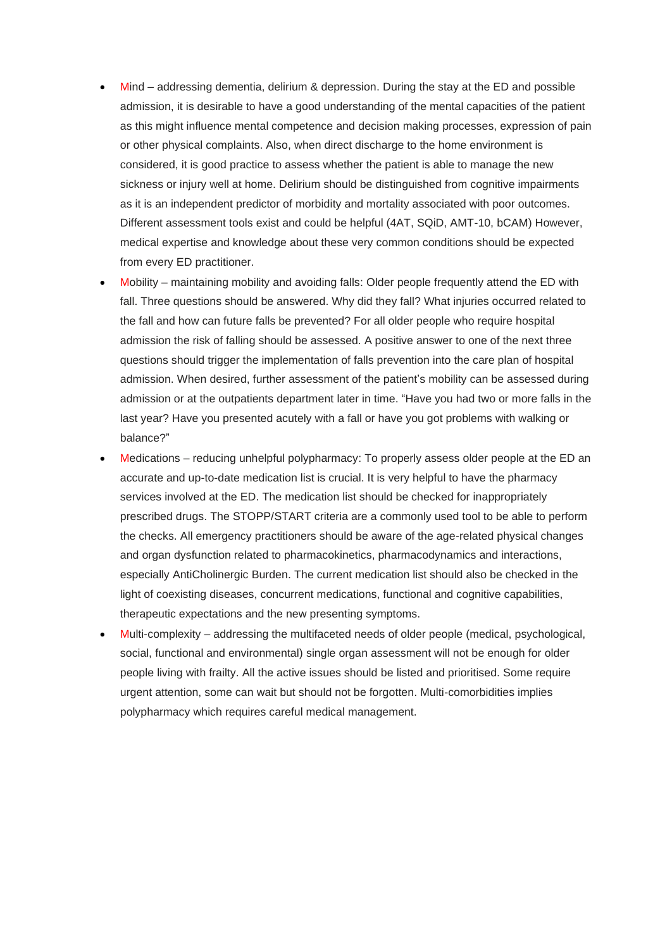- Mind addressing dementia, delirium & depression. During the stay at the ED and possible admission, it is desirable to have a good understanding of the mental capacities of the patient as this might influence mental competence and decision making processes, expression of pain or other physical complaints. Also, when direct discharge to the home environment is considered, it is good practice to assess whether the patient is able to manage the new sickness or injury well at home. Delirium should be distinguished from cognitive impairments as it is an independent predictor of morbidity and mortality associated with poor outcomes. Different assessment tools exist and could be helpful (4AT, SQiD, AMT-10, bCAM) However, medical expertise and knowledge about these very common conditions should be expected from every ED practitioner.
- Mobility maintaining mobility and avoiding falls: Older people frequently attend the ED with fall. Three questions should be answered. Why did they fall? What injuries occurred related to the fall and how can future falls be prevented? For all older people who require hospital admission the risk of falling should be assessed. A positive answer to one of the next three questions should trigger the implementation of falls prevention into the care plan of hospital admission. When desired, further assessment of the patient's mobility can be assessed during admission or at the outpatients department later in time. "Have you had two or more falls in the last year? Have you presented acutely with a fall or have you got problems with walking or balance?"
- Medications reducing unhelpful polypharmacy: To properly assess older people at the ED an accurate and up-to-date medication list is crucial. It is very helpful to have the pharmacy services involved at the ED. The medication list should be checked for inappropriately prescribed drugs. The STOPP/START criteria are a commonly used tool to be able to perform the checks. All emergency practitioners should be aware of the age-related physical changes and organ dysfunction related to pharmacokinetics, pharmacodynamics and interactions, especially AntiCholinergic Burden. The current medication list should also be checked in the light of coexisting diseases, concurrent medications, functional and cognitive capabilities, therapeutic expectations and the new presenting symptoms.
- Multi-complexity addressing the multifaceted needs of older people (medical, psychological, social, functional and environmental) single organ assessment will not be enough for older people living with frailty. All the active issues should be listed and prioritised. Some require urgent attention, some can wait but should not be forgotten. Multi-comorbidities implies polypharmacy which requires careful medical management.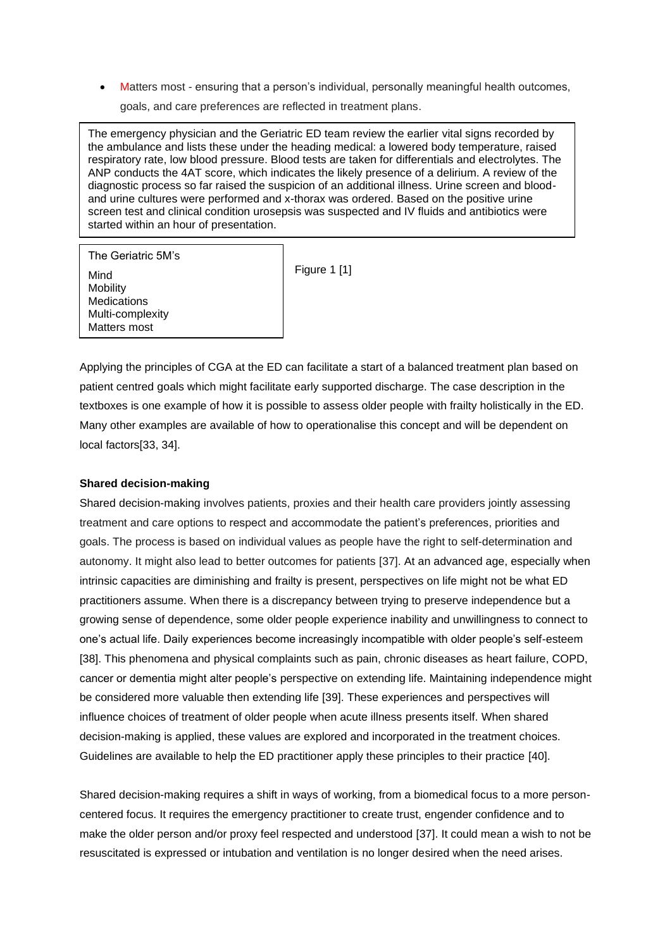• Matters most - ensuring that a person's individual, personally meaningful health outcomes,

goals, and care preferences are reflected in treatment plans.

The emergency physician and the Geriatric ED team review the earlier vital signs recorded by the ambulance and lists these under the heading medical: a lowered body temperature, raised respiratory rate, low blood pressure. Blood tests are taken for differentials and electrolytes. The ANP conducts the 4AT score, which indicates the likely presence of a delirium. A review of the diagnostic process so far raised the suspicion of an additional illness. Urine screen and bloodand urine cultures were performed and x-thorax was ordered. Based on the positive urine screen test and clinical condition urosepsis was suspected and IV fluids and antibiotics were started within an hour of presentation.

The Geriatric 5M's Mind Mobility Medications Multi-complexity Matters most

Figure 1 [1]

Applying the principles of CGA at the ED can facilitate a start of a balanced treatment plan based on patient centred goals which might facilitate early supported discharge. The case description in the textboxes is one example of how it is possible to assess older people with frailty holistically in the ED. Many other examples are available of how to operationalise this concept and will be dependent on local factors[33, 34].

### **Shared decision-making**

Shared decision-making involves patients, proxies and their health care providers jointly assessing treatment and care options to respect and accommodate the patient's preferences, priorities and goals. The process is based on individual values as people have the right to self-determination and autonomy. It might also lead to better outcomes for patients [37]. At an advanced age, especially when intrinsic capacities are diminishing and frailty is present, perspectives on life might not be what ED practitioners assume. When there is a discrepancy between trying to preserve independence but a growing sense of dependence, some older people experience inability and unwillingness to connect to one's actual life. Daily experiences become increasingly incompatible with older people's self-esteem [38]. This phenomena and physical complaints such as pain, chronic diseases as heart failure, COPD, cancer or dementia might alter people's perspective on extending life. Maintaining independence might be considered more valuable then extending life [39]. These experiences and perspectives will influence choices of treatment of older people when acute illness presents itself. When shared decision-making is applied, these values are explored and incorporated in the treatment choices. Guidelines are available to help the ED practitioner apply these principles to their practice [40].

Shared decision-making requires a shift in ways of working, from a biomedical focus to a more personcentered focus. It requires the emergency practitioner to create trust, engender confidence and to make the older person and/or proxy feel respected and understood [37]. It could mean a wish to not be resuscitated is expressed or intubation and ventilation is no longer desired when the need arises.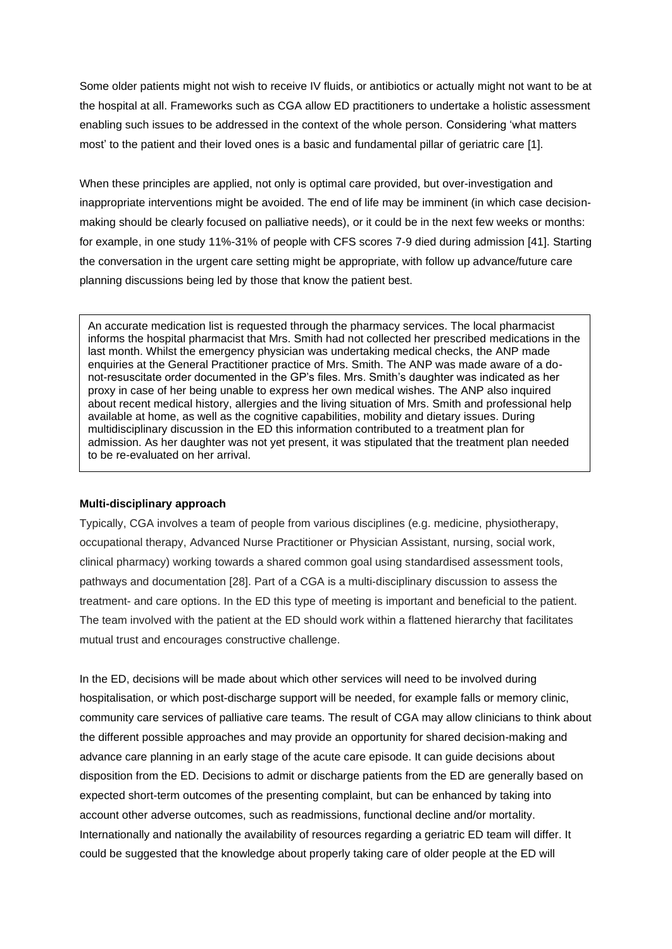Some older patients might not wish to receive IV fluids, or antibiotics or actually might not want to be at the hospital at all. Frameworks such as CGA allow ED practitioners to undertake a holistic assessment enabling such issues to be addressed in the context of the whole person. Considering 'what matters most' to the patient and their loved ones is a basic and fundamental pillar of geriatric care [1].

When these principles are applied, not only is optimal care provided, but over-investigation and inappropriate interventions might be avoided. The end of life may be imminent (in which case decisionmaking should be clearly focused on palliative needs), or it could be in the next few weeks or months: for example, in one study 11%-31% of people with CFS scores 7-9 died during admission [41]. Starting the conversation in the urgent care setting might be appropriate, with follow up advance/future care planning discussions being led by those that know the patient best.

An accurate medication list is requested through the pharmacy services. The local pharmacist informs the hospital pharmacist that Mrs. Smith had not collected her prescribed medications in the last month. Whilst the emergency physician was undertaking medical checks, the ANP made enquiries at the General Practitioner practice of Mrs. Smith. The ANP was made aware of a donot-resuscitate order documented in the GP's files. Mrs. Smith's daughter was indicated as her proxy in case of her being unable to express her own medical wishes. The ANP also inquired about recent medical history, allergies and the living situation of Mrs. Smith and professional help available at home, as well as the cognitive capabilities, mobility and dietary issues. During multidisciplinary discussion in the ED this information contributed to a treatment plan for admission. As her daughter was not yet present, it was stipulated that the treatment plan needed to be re-evaluated on her arrival.

### **Multi-disciplinary approach**

Typically, CGA involves a team of people from various disciplines (e.g. medicine, physiotherapy, occupational therapy, Advanced Nurse Practitioner or Physician Assistant, nursing, social work, clinical pharmacy) working towards a shared common goal using standardised assessment tools, pathways and documentation [28]. Part of a CGA is a multi-disciplinary discussion to assess the treatment- and care options. In the ED this type of meeting is important and beneficial to the patient. The team involved with the patient at the ED should work within a flattened hierarchy that facilitates mutual trust and encourages constructive challenge.

In the ED, decisions will be made about which other services will need to be involved during hospitalisation, or which post-discharge support will be needed, for example falls or memory clinic, community care services of palliative care teams. The result of CGA may allow clinicians to think about the different possible approaches and may provide an opportunity for shared decision-making and advance care planning in an early stage of the acute care episode. It can guide decisions about disposition from the ED. Decisions to admit or discharge patients from the ED are generally based on expected short-term outcomes of the presenting complaint, but can be enhanced by taking into account other adverse outcomes, such as readmissions, functional decline and/or mortality. Internationally and nationally the availability of resources regarding a geriatric ED team will differ. It could be suggested that the knowledge about properly taking care of older people at the ED will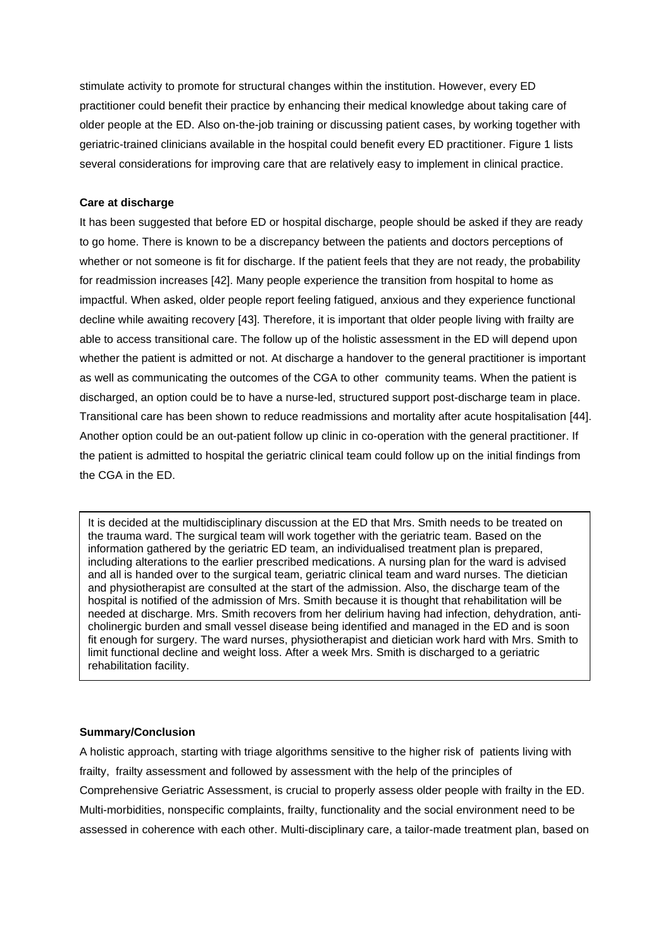stimulate activity to promote for structural changes within the institution. However, every ED practitioner could benefit their practice by enhancing their medical knowledge about taking care of older people at the ED. Also on-the-job training or discussing patient cases, by working together with geriatric-trained clinicians available in the hospital could benefit every ED practitioner. Figure 1 lists several considerations for improving care that are relatively easy to implement in clinical practice.

### **Care at discharge**

It has been suggested that before ED or hospital discharge, people should be asked if they are ready to go home. There is known to be a discrepancy between the patients and doctors perceptions of whether or not someone is fit for discharge. If the patient feels that they are not ready, the probability for readmission increases [42]. Many people experience the transition from hospital to home as impactful. When asked, older people report feeling fatigued, anxious and they experience functional decline while awaiting recovery [43]. Therefore, it is important that older people living with frailty are able to access transitional care. The follow up of the holistic assessment in the ED will depend upon whether the patient is admitted or not. At discharge a handover to the general practitioner is important as well as communicating the outcomes of the CGA to other community teams. When the patient is discharged, an option could be to have a nurse-led, structured support post-discharge team in place. Transitional care has been shown to reduce readmissions and mortality after acute hospitalisation [44]. Another option could be an out-patient follow up clinic in co-operation with the general practitioner. If the patient is admitted to hospital the geriatric clinical team could follow up on the initial findings from the CGA in the ED.

It is decided at the multidisciplinary discussion at the ED that Mrs. Smith needs to be treated on the trauma ward. The surgical team will work together with the geriatric team. Based on the information gathered by the geriatric ED team, an individualised treatment plan is prepared, including alterations to the earlier prescribed medications. A nursing plan for the ward is advised and all is handed over to the surgical team, geriatric clinical team and ward nurses. The dietician and physiotherapist are consulted at the start of the admission. Also, the discharge team of the hospital is notified of the admission of Mrs. Smith because it is thought that rehabilitation will be needed at discharge. Mrs. Smith recovers from her delirium having had infection, dehydration, anticholinergic burden and small vessel disease being identified and managed in the ED and is soon fit enough for surgery. The ward nurses, physiotherapist and dietician work hard with Mrs. Smith to limit functional decline and weight loss. After a week Mrs. Smith is discharged to a geriatric rehabilitation facility.

### **Summary/Conclusion**

A holistic approach, starting with triage algorithms sensitive to the higher risk of patients living with frailty, frailty assessment and followed by assessment with the help of the principles of Comprehensive Geriatric Assessment, is crucial to properly assess older people with frailty in the ED. Multi-morbidities, nonspecific complaints, frailty, functionality and the social environment need to be assessed in coherence with each other. Multi-disciplinary care, a tailor-made treatment plan, based on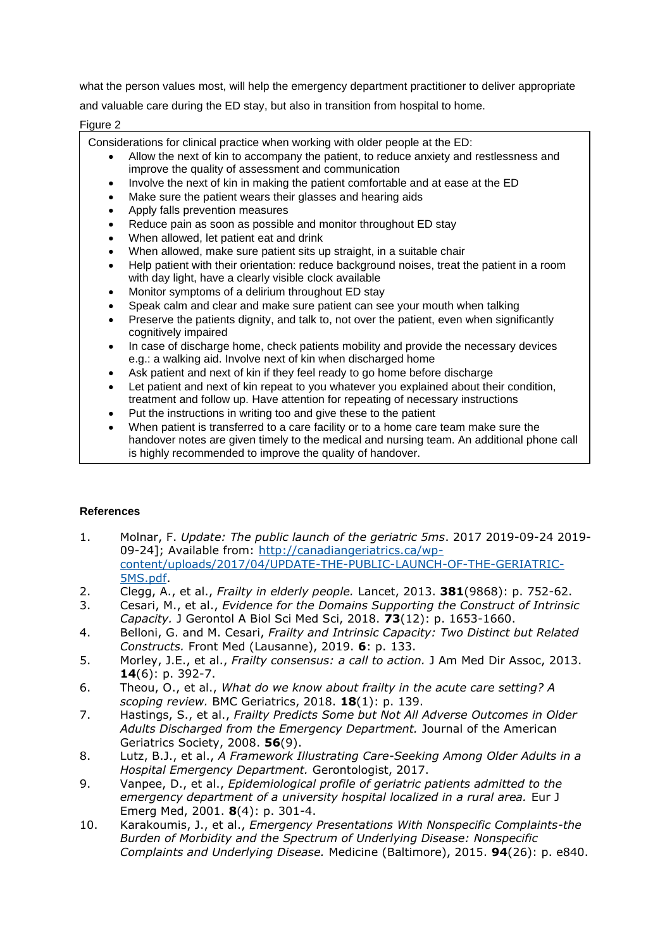what the person values most, will help the emergency department practitioner to deliver appropriate and valuable care during the ED stay, but also in transition from hospital to home.

### Figure 2

Considerations for clinical practice when working with older people at the ED:

- Allow the next of kin to accompany the patient, to reduce anxiety and restlessness and improve the quality of assessment and communication
- Involve the next of kin in making the patient comfortable and at ease at the ED
- Make sure the patient wears their glasses and hearing aids
- Apply falls prevention measures
- Reduce pain as soon as possible and monitor throughout ED stay
- When allowed, let patient eat and drink
- When allowed, make sure patient sits up straight, in a suitable chair
- Help patient with their orientation: reduce background noises, treat the patient in a room with day light, have a clearly visible clock available
- Monitor symptoms of a delirium throughout ED stay
- Speak calm and clear and make sure patient can see your mouth when talking
- Preserve the patients dignity, and talk to, not over the patient, even when significantly cognitively impaired
- In case of discharge home, check patients mobility and provide the necessary devices e.g.: a walking aid. Involve next of kin when discharged home
- Ask patient and next of kin if they feel ready to go home before discharge
- Let patient and next of kin repeat to you whatever you explained about their condition,
- treatment and follow up. Have attention for repeating of necessary instructions
- Put the instructions in writing too and give these to the patient
- When patient is transferred to a care facility or to a home care team make sure the handover notes are given timely to the medical and nursing team. An additional phone call is highly recommended to improve the quality of handover.

### **References**

- 1. Molnar, F. *Update: The public launch of the geriatric 5ms*. 2017 2019-09-24 2019- 09-24]; Available from: [http://canadiangeriatrics.ca/wp](http://canadiangeriatrics.ca/wp-content/uploads/2017/04/UPDATE-THE-PUBLIC-LAUNCH-OF-THE-GERIATRIC-5MS.pdf)[content/uploads/2017/04/UPDATE-THE-PUBLIC-LAUNCH-OF-THE-GERIATRIC-](http://canadiangeriatrics.ca/wp-content/uploads/2017/04/UPDATE-THE-PUBLIC-LAUNCH-OF-THE-GERIATRIC-5MS.pdf)[5MS.pdf.](http://canadiangeriatrics.ca/wp-content/uploads/2017/04/UPDATE-THE-PUBLIC-LAUNCH-OF-THE-GERIATRIC-5MS.pdf)
- 2. Clegg, A., et al., *Frailty in elderly people.* Lancet, 2013. **381**(9868): p. 752-62.
- 3. Cesari, M., et al., *Evidence for the Domains Supporting the Construct of Intrinsic Capacity.* J Gerontol A Biol Sci Med Sci, 2018. **73**(12): p. 1653-1660.
- 4. Belloni, G. and M. Cesari, *Frailty and Intrinsic Capacity: Two Distinct but Related Constructs.* Front Med (Lausanne), 2019. **6**: p. 133.
- 5. Morley, J.E., et al., *Frailty consensus: a call to action.* J Am Med Dir Assoc, 2013. **14**(6): p. 392-7.
- 6. Theou, O., et al., *What do we know about frailty in the acute care setting? A scoping review.* BMC Geriatrics, 2018. **18**(1): p. 139.
- 7. Hastings, S., et al., *Frailty Predicts Some but Not All Adverse Outcomes in Older Adults Discharged from the Emergency Department.* Journal of the American Geriatrics Society, 2008. **56**(9).
- 8. Lutz, B.J., et al., *A Framework Illustrating Care-Seeking Among Older Adults in a Hospital Emergency Department.* Gerontologist, 2017.
- 9. Vanpee, D., et al., *Epidemiological profile of geriatric patients admitted to the emergency department of a university hospital localized in a rural area.* Eur J Emerg Med, 2001. **8**(4): p. 301-4.
- 10. Karakoumis, J., et al., *Emergency Presentations With Nonspecific Complaints-the Burden of Morbidity and the Spectrum of Underlying Disease: Nonspecific Complaints and Underlying Disease.* Medicine (Baltimore), 2015. **94**(26): p. e840.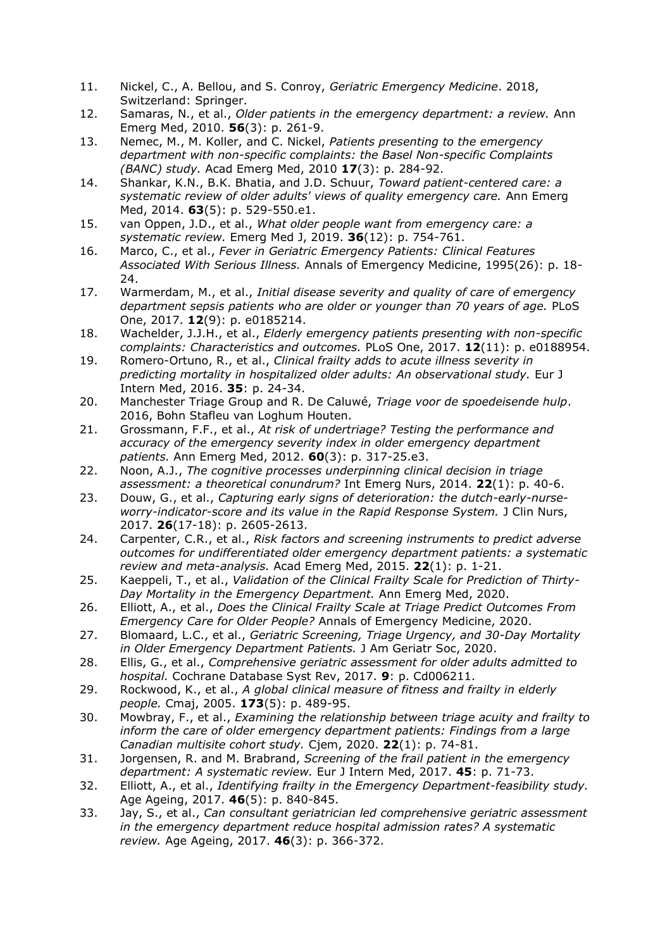- 11. Nickel, C., A. Bellou, and S. Conroy, *Geriatric Emergency Medicine*. 2018, Switzerland: Springer.
- 12. Samaras, N., et al., *Older patients in the emergency department: a review.* Ann Emerg Med, 2010. **56**(3): p. 261-9.
- 13. Nemec, M., M. Koller, and C. Nickel, *Patients presenting to the emergency department with non-specific complaints: the Basel Non-specific Complaints (BANC) study.* Acad Emerg Med, 2010 **17**(3): p. 284-92.
- 14. Shankar, K.N., B.K. Bhatia, and J.D. Schuur, *Toward patient-centered care: a systematic review of older adults' views of quality emergency care.* Ann Emerg Med, 2014. **63**(5): p. 529-550.e1.
- 15. van Oppen, J.D., et al., *What older people want from emergency care: a systematic review.* Emerg Med J, 2019. **36**(12): p. 754-761.
- 16. Marco, C., et al., *Fever in Geriatric Emergency Patients: Clinical Features Associated With Serious Illness.* Annals of Emergency Medicine, 1995(26): p. 18- 24.
- 17. Warmerdam, M., et al., *Initial disease severity and quality of care of emergency department sepsis patients who are older or younger than 70 years of age.* PLoS One, 2017. **12**(9): p. e0185214.
- 18. Wachelder, J.J.H., et al., *Elderly emergency patients presenting with non-specific complaints: Characteristics and outcomes.* PLoS One, 2017. **12**(11): p. e0188954.
- 19. Romero-Ortuno, R., et al., *Clinical frailty adds to acute illness severity in predicting mortality in hospitalized older adults: An observational study.* Eur J Intern Med, 2016. **35**: p. 24-34.
- 20. Manchester Triage Group and R. De Caluwé, *Triage voor de spoedeisende hulp*. 2016, Bohn Stafleu van Loghum Houten.
- 21. Grossmann, F.F., et al., *At risk of undertriage? Testing the performance and accuracy of the emergency severity index in older emergency department patients.* Ann Emerg Med, 2012. **60**(3): p. 317-25.e3.
- 22. Noon, A.J., *The cognitive processes underpinning clinical decision in triage assessment: a theoretical conundrum?* Int Emerg Nurs, 2014. **22**(1): p. 40-6.
- 23. Douw, G., et al., *Capturing early signs of deterioration: the dutch-early-nurseworry-indicator-score and its value in the Rapid Response System.* J Clin Nurs, 2017. **26**(17-18): p. 2605-2613.
- 24. Carpenter, C.R., et al., *Risk factors and screening instruments to predict adverse outcomes for undifferentiated older emergency department patients: a systematic review and meta-analysis.* Acad Emerg Med, 2015. **22**(1): p. 1-21.
- 25. Kaeppeli, T., et al., *Validation of the Clinical Frailty Scale for Prediction of Thirty-Day Mortality in the Emergency Department.* Ann Emerg Med, 2020.
- 26. Elliott, A., et al., *Does the Clinical Frailty Scale at Triage Predict Outcomes From Emergency Care for Older People?* Annals of Emergency Medicine, 2020.
- 27. Blomaard, L.C., et al., *Geriatric Screening, Triage Urgency, and 30-Day Mortality in Older Emergency Department Patients.* J Am Geriatr Soc, 2020.
- 28. Ellis, G., et al., *Comprehensive geriatric assessment for older adults admitted to hospital.* Cochrane Database Syst Rev, 2017. **9**: p. Cd006211.
- 29. Rockwood, K., et al., *A global clinical measure of fitness and frailty in elderly people.* Cmaj, 2005. **173**(5): p. 489-95.
- 30. Mowbray, F., et al., *Examining the relationship between triage acuity and frailty to inform the care of older emergency department patients: Findings from a large Canadian multisite cohort study.* Cjem, 2020. **22**(1): p. 74-81.
- 31. Jorgensen, R. and M. Brabrand, *Screening of the frail patient in the emergency department: A systematic review.* Eur J Intern Med, 2017. **45**: p. 71-73.
- 32. Elliott, A., et al., *Identifying frailty in the Emergency Department-feasibility study.* Age Ageing, 2017. **46**(5): p. 840-845.
- 33. Jay, S., et al., *Can consultant geriatrician led comprehensive geriatric assessment in the emergency department reduce hospital admission rates? A systematic review.* Age Ageing, 2017. **46**(3): p. 366-372.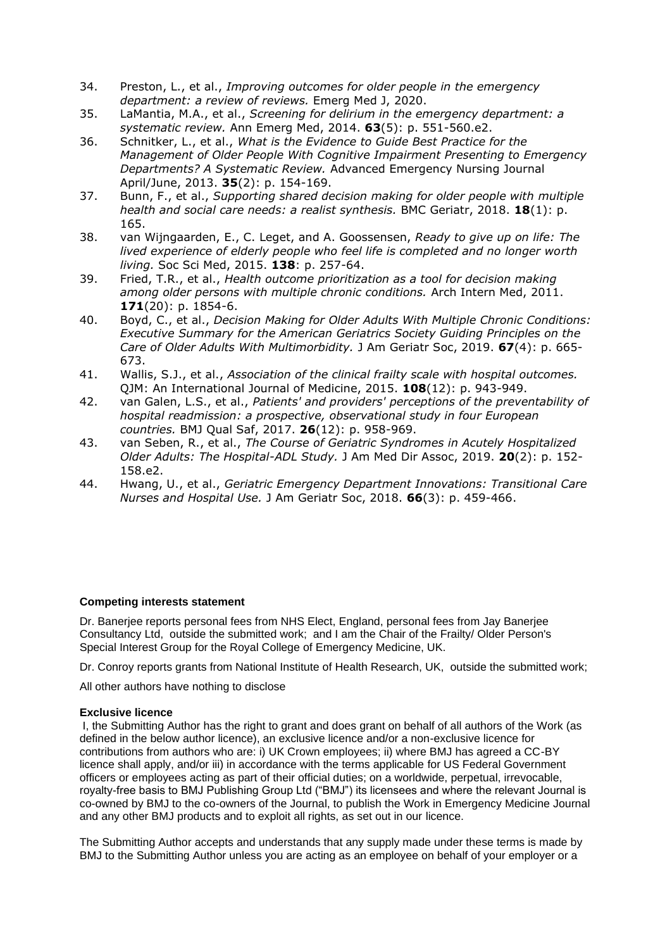- 34. Preston, L., et al., *Improving outcomes for older people in the emergency department: a review of reviews.* Emerg Med J, 2020.
- 35. LaMantia, M.A., et al., *Screening for delirium in the emergency department: a systematic review.* Ann Emerg Med, 2014. **63**(5): p. 551-560.e2.
- 36. Schnitker, L., et al., *What is the Evidence to Guide Best Practice for the Management of Older People With Cognitive Impairment Presenting to Emergency Departments? A Systematic Review.* Advanced Emergency Nursing Journal April/June, 2013. **35**(2): p. 154-169.
- 37. Bunn, F., et al., *Supporting shared decision making for older people with multiple health and social care needs: a realist synthesis.* BMC Geriatr, 2018. **18**(1): p. 165.
- 38. van Wijngaarden, E., C. Leget, and A. Goossensen, *Ready to give up on life: The lived experience of elderly people who feel life is completed and no longer worth living.* Soc Sci Med, 2015. **138**: p. 257-64.
- 39. Fried, T.R., et al., *Health outcome prioritization as a tool for decision making among older persons with multiple chronic conditions.* Arch Intern Med, 2011. **171**(20): p. 1854-6.
- 40. Boyd, C., et al., *Decision Making for Older Adults With Multiple Chronic Conditions: Executive Summary for the American Geriatrics Society Guiding Principles on the Care of Older Adults With Multimorbidity.* J Am Geriatr Soc, 2019. **67**(4): p. 665- 673.
- 41. Wallis, S.J., et al., *Association of the clinical frailty scale with hospital outcomes.* QJM: An International Journal of Medicine, 2015. **108**(12): p. 943-949.
- 42. van Galen, L.S., et al., *Patients' and providers' perceptions of the preventability of hospital readmission: a prospective, observational study in four European countries.* BMJ Qual Saf, 2017. **26**(12): p. 958-969.
- 43. van Seben, R., et al., *The Course of Geriatric Syndromes in Acutely Hospitalized Older Adults: The Hospital-ADL Study.* J Am Med Dir Assoc, 2019. **20**(2): p. 152- 158.e2.
- 44. Hwang, U., et al., *Geriatric Emergency Department Innovations: Transitional Care Nurses and Hospital Use.* J Am Geriatr Soc, 2018. **66**(3): p. 459-466.

### **Competing interests statement**

Dr. Banerjee reports personal fees from NHS Elect, England, personal fees from Jay Banerjee Consultancy Ltd, outside the submitted work; and I am the Chair of the Frailty/ Older Person's Special Interest Group for the Royal College of Emergency Medicine, UK.

Dr. Conroy reports grants from National Institute of Health Research, UK, outside the submitted work;

All other authors have nothing to disclose

### **Exclusive licence**

I, the Submitting Author has the right to grant and does grant on behalf of all authors of the Work (as defined in the below author licence), an exclusive licence and/or a non-exclusive licence for contributions from authors who are: i) UK Crown employees; ii) where BMJ has agreed a CC-BY licence shall apply, and/or iii) in accordance with the terms applicable for US Federal Government officers or employees acting as part of their official duties; on a worldwide, perpetual, irrevocable, royalty-free basis to BMJ Publishing Group Ltd ("BMJ") its licensees and where the relevant Journal is co-owned by BMJ to the co-owners of the Journal, to publish the Work in Emergency Medicine Journal and any other BMJ products and to exploit all rights, as set out in our [licence.](https://authors.bmj.com/wp-content/uploads/2018/11/BMJ_Journals_Combined_Author_Licence_2018.pdf)

The Submitting Author accepts and understands that any supply made under these terms is made by BMJ to the Submitting Author unless you are acting as an employee on behalf of your employer or a